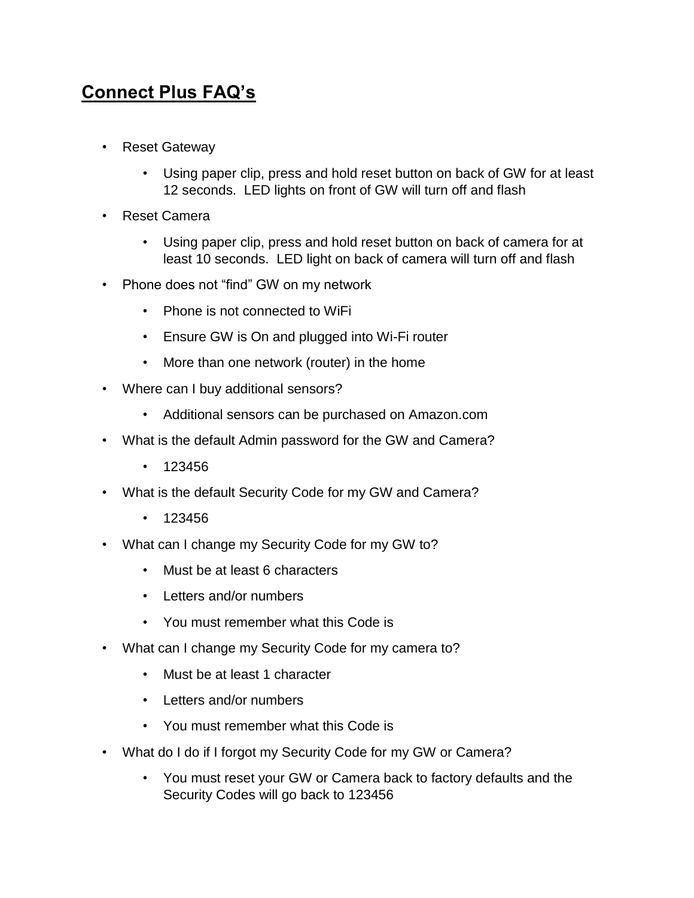## **Connect Plus FAQ's**

- Reset Gateway
	- Using paper clip, press and hold reset button on back of GW for at least 12 seconds. LED lights on front of GW will turn off and flash
- Reset Camera
	- Using paper clip, press and hold reset button on back of camera for at least 10 seconds. LED light on back of camera will turn off and flash
- Phone does not "find" GW on my network
	- Phone is not connected to WiFi
	- Ensure GW is On and plugged into Wi-Fi router
	- More than one network (router) in the home
- Where can I buy additional sensors?
	- Additional sensors can be purchased on Amazon.com
- What is the default Admin password for the GW and Camera?
	- 123456
- What is the default Security Code for my GW and Camera?
	- $123456$
- What can I change my Security Code for my GW to?
	- Must be at least 6 characters
	- Letters and/or numbers
	- You must remember what this Code is
- What can I change my Security Code for my camera to?
	- Must be at least 1 character
	- Letters and/or numbers
	- You must remember what this Code is
- What do I do if I forgot my Security Code for my GW or Camera?
	- You must reset your GW or Camera back to factory defaults and the Security Codes will go back to 123456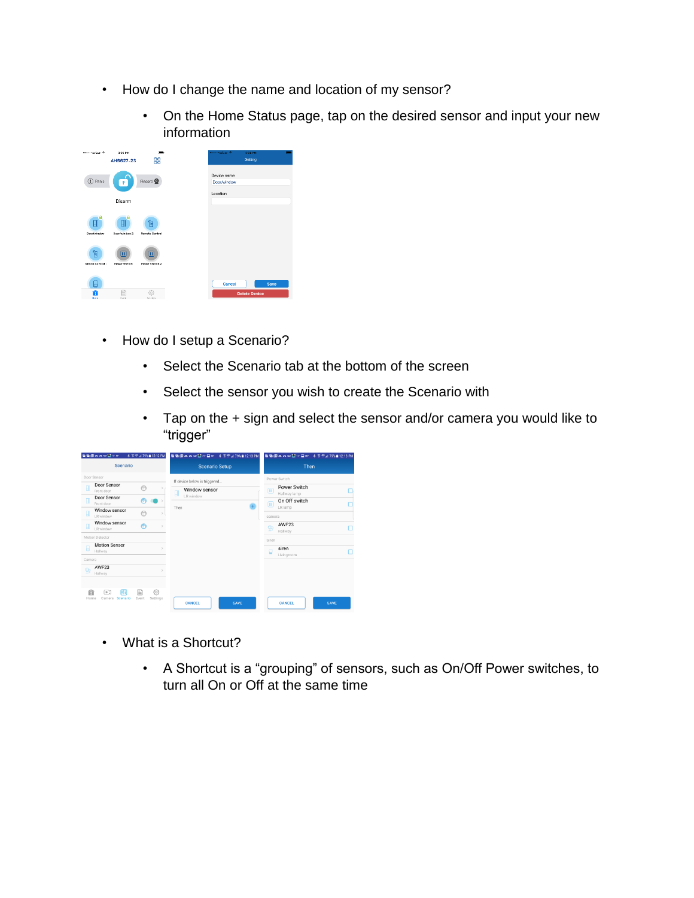- How do I change the name and location of my sensor?
	- On the Home Status page, tap on the desired sensor and input your new information

| econ Verigen ®               | 3:35 PM<br>AHS627-23                                         | 88                                               | ecodo Verizan W            | 3:35 PM<br>Setting           |
|------------------------------|--------------------------------------------------------------|--------------------------------------------------|----------------------------|------------------------------|
| (I) Panic                    | $\mathbf{r}$                                                 | Record <sup>O</sup>                              | Device name<br>Door/window |                              |
|                              | Disarm                                                       |                                                  | Location                   |                              |
| a<br>O<br><b>Door/window</b> | 圓<br>Door/window 2                                           | 佪<br>Remote Centrel                              |                            |                              |
| 乍<br>temote Centrel:         | $\left( \overline{\mathbf{u}}\right)$<br><b>Power Switch</b> | $\textcolor{blue}{\textbf{m}}$<br>Power Switch 2 |                            |                              |
| 6<br>Ŧ<br>Hama               | E<br><b>EUroped</b>                                          | 6}<br>Suttings                                   | Cancel                     | Save<br><b>Delete Device</b> |

- How do I setup a Scenario?
	- Select the Scenario tab at the bottom of the screen
	- Select the sensor you wish to create the Scenario with
	- Tap on the + sign and select the sensor and/or camera you would like to "trigger"

|           | 看看国内の公□万叶                              | * 종역:⊿ 79% 12:12 PM          | <b>電電図画画の①22日87 ネネティ79%自12:13 PM</b> |             |        |                              | <b>電電図画画の回</b> 2F国町 8 京県J 79%自12:13 PM |
|-----------|----------------------------------------|------------------------------|--------------------------------------|-------------|--------|------------------------------|----------------------------------------|
|           | Scenario                               |                              | <b>Scenario Setup</b>                |             |        | Then                         |                                        |
|           | Door Sensor                            |                              | If device below is triggered         |             |        | Power Switch                 |                                        |
| H         | Door Sensor<br>Front door              | $\bigcap$                    | Window sensor<br>吅                   |             | m      | Power Switch<br>Hallway lamp |                                        |
| O         | Door Sensor<br>Front door              | н                            | LR window                            |             | ω      | On Off switch                |                                        |
| O         | Window sensor<br>LR window             | $\bigcap$                    | Then                                 |             | camera | LR lamp                      |                                        |
| 目         | Window sensor<br>LR window             | Ô                            |                                      |             |        | AWF23<br>Hallway             |                                        |
|           | Motion Detector                        |                              |                                      |             | Siren  |                              |                                        |
|           | <b>Motion Sensor</b><br>Hallway        |                              |                                      |             | $\Box$ | siren<br>Livingroom          |                                        |
| Camera    |                                        |                              |                                      |             |        |                              |                                        |
|           | AWF23<br>Hallway                       |                              |                                      |             |        |                              |                                        |
| 畲<br>Home | <b>FTA</b><br>F.<br>Scenario<br>Camera | ⊟<br>⊙}<br>Event<br>Settings | <b>CANCEL</b>                        | <b>SAVE</b> |        | <b>CANCEL</b>                | <b>SAVE</b>                            |

- What is a Shortcut?
	- A Shortcut is a "grouping" of sensors, such as On/Off Power switches, to turn all On or Off at the same time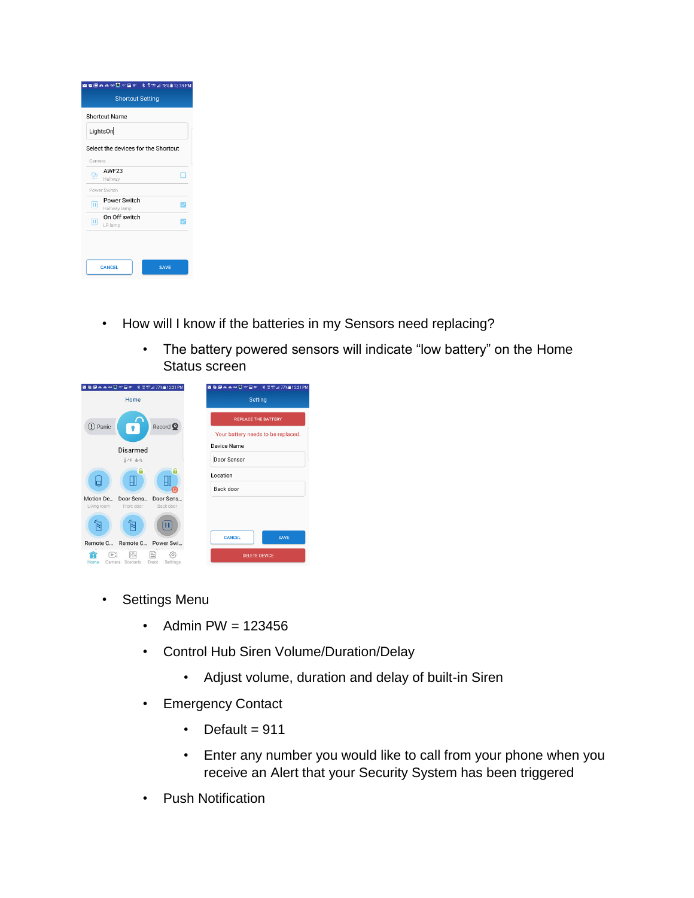|                            | Shortcut Name                       |    |
|----------------------------|-------------------------------------|----|
|                            | LightsOn                            |    |
|                            | Select the devices for the Shortcut |    |
| Camera                     |                                     |    |
|                            | AWF <sub>23</sub>                   | T. |
|                            | Hallway                             |    |
|                            | Power Switch                        |    |
| $\left( \mathrm{H}\right)$ | Power Switch                        | ▽  |
|                            | Hallway lamp                        |    |
| $\sqcap$                   | On Off switch                       | ▽  |
|                            | LR lamp                             |    |

- How will I know if the batteries in my Sensors need replacing?
	- The battery powered sensors will indicate "low battery" on the Home Status screen



- Settings Menu
	- Admin PW =  $123456$
	- Control Hub Siren Volume/Duration/Delay
		- Adjust volume, duration and delay of built-in Siren
	- Emergency Contact
		- Default =  $911$
		- Enter any number you would like to call from your phone when you receive an Alert that your Security System has been triggered
	- Push Notification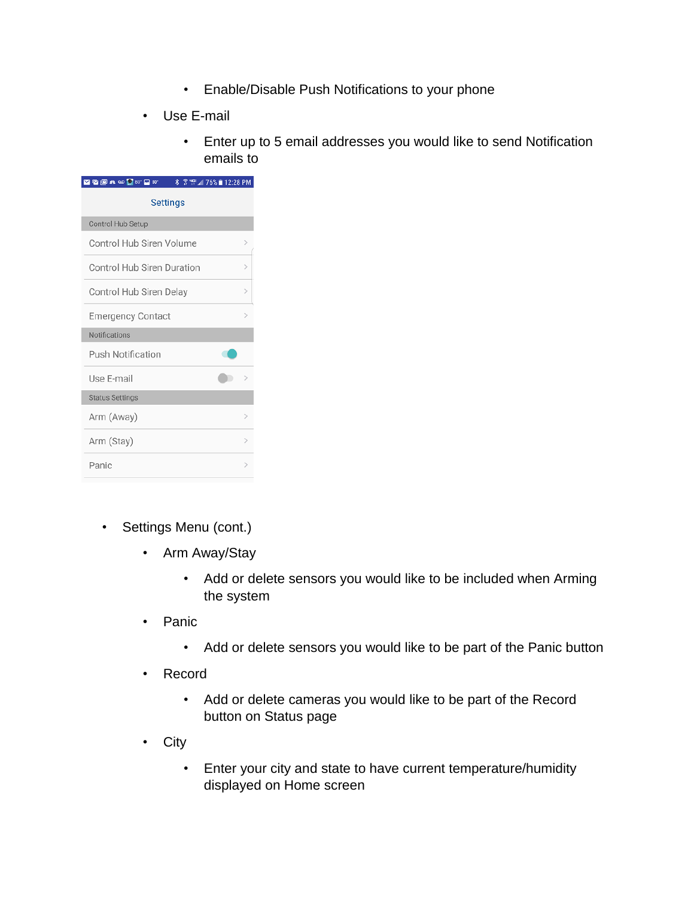- Enable/Disable Push Notifications to your phone
- Use E-mail
	- Enter up to 5 email addresses you would like to send Notification emails to

| <b>MEETAO</b> 980°<br><b>% ☆ ™ 4 76% 12:28 PM</b>  |               |  |  |  |
|----------------------------------------------------|---------------|--|--|--|
| <b>Settings</b>                                    |               |  |  |  |
| Control Hub Setup                                  |               |  |  |  |
| Control Hub Siren Volume                           | $\mathcal{P}$ |  |  |  |
| <b>Control Hub Siren Duration</b><br>$\mathcal{P}$ |               |  |  |  |
| Control Hub Siren Delay                            | $\mathcal{P}$ |  |  |  |
| <b>Emergency Contact</b><br>$\mathcal{P}$          |               |  |  |  |
| Notifications                                      |               |  |  |  |
| Push Notification                                  |               |  |  |  |
| Use E-mail                                         | $\,>\,$       |  |  |  |
| <b>Status Settings</b>                             |               |  |  |  |
| Arm (Away)<br>$\mathcal{P}$                        |               |  |  |  |
| Arm (Stay)                                         | $\mathcal{P}$ |  |  |  |
| Panic                                              | $\mathcal{P}$ |  |  |  |
|                                                    |               |  |  |  |

- Settings Menu (cont.)
	- Arm Away/Stay
		- Add or delete sensors you would like to be included when Arming the system
	- Panic
		- Add or delete sensors you would like to be part of the Panic button
	- Record
		- Add or delete cameras you would like to be part of the Record button on Status page
	- City
		- Enter your city and state to have current temperature/humidity displayed on Home screen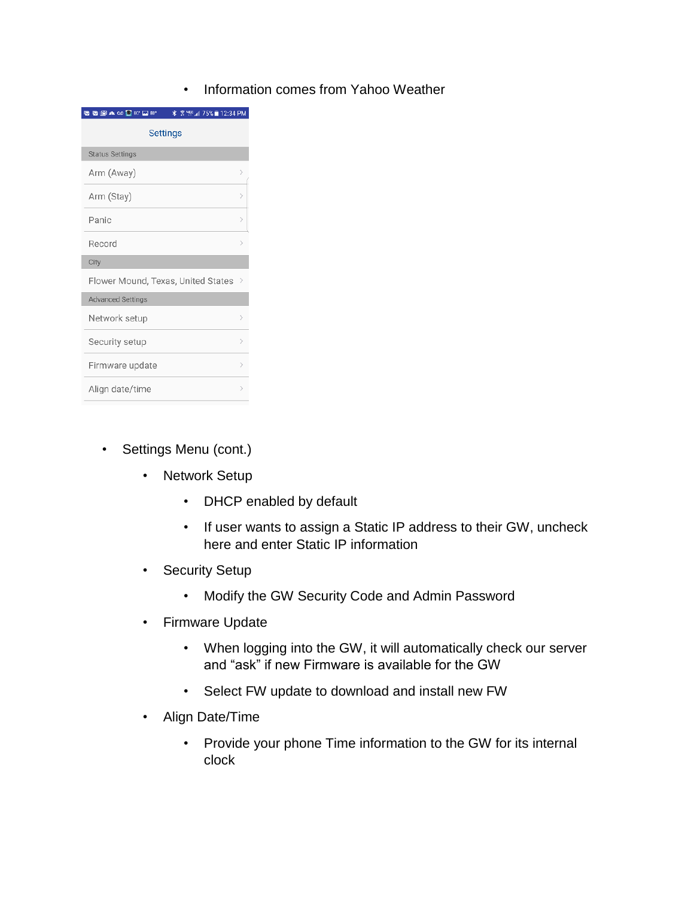• Information comes from Yahoo Weather

| * <sup>需 че</sup> ⊿ 75% ∎ 12:34 PM<br><b>GGAOOO</b> |               |
|-----------------------------------------------------|---------------|
| <b>Settings</b>                                     |               |
| <b>Status Settings</b>                              |               |
| Arm (Away)                                          | $\mathcal{P}$ |
| Arm (Stay)                                          | 5             |
| Panic                                               | $\mathcal{P}$ |
| Record                                              | ⋋             |
| City                                                |               |
| Flower Mound, Texas, United States                  | $\,>\,$       |
| <b>Advanced Settings</b>                            |               |
| Network setup                                       | $\mathcal{P}$ |
| Security setup                                      | 5             |
| Firmware update                                     | $\mathcal{E}$ |
| Align date/time                                     | ⋗             |

- Settings Menu (cont.)
	- Network Setup
		- DHCP enabled by default
		- If user wants to assign a Static IP address to their GW, uncheck here and enter Static IP information
	- Security Setup
		- Modify the GW Security Code and Admin Password
	- Firmware Update
		- When logging into the GW, it will automatically check our server and "ask" if new Firmware is available for the GW
		- Select FW update to download and install new FW
	- Align Date/Time
		- Provide your phone Time information to the GW for its internal clock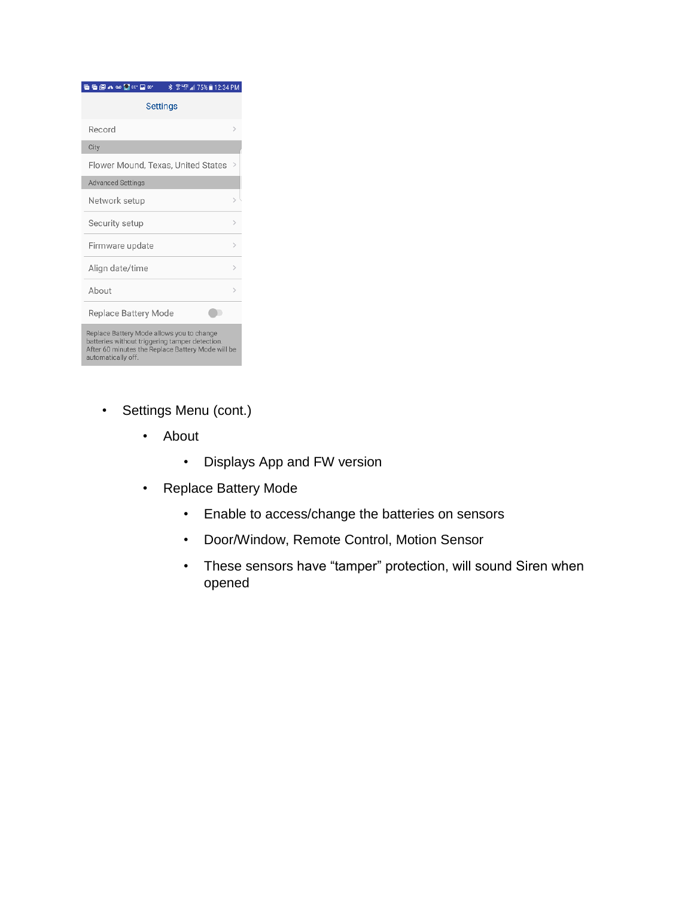| <b>GGALOOO</b> 80 A                                                                                                                                                    | <b>常吧⊿75%■12:34 PM</b><br>* |
|------------------------------------------------------------------------------------------------------------------------------------------------------------------------|-----------------------------|
| Settings                                                                                                                                                               |                             |
| Record                                                                                                                                                                 | $\mathcal{P}$               |
| City                                                                                                                                                                   |                             |
| Flower Mound, Texas, United States                                                                                                                                     | >                           |
| <b>Advanced Settings</b>                                                                                                                                               |                             |
| Network setup                                                                                                                                                          |                             |
| Security setup                                                                                                                                                         | $\mathcal{P}$               |
| Firmware update                                                                                                                                                        | $\mathcal{P}$               |
| Align date/time                                                                                                                                                        | $\mathcal{P}$               |
| About                                                                                                                                                                  | >                           |
| Replace Battery Mode                                                                                                                                                   |                             |
| Replace Battery Mode allows you to change<br>batteries without triggering tamper detection.<br>After 60 minutes the Replace Battery Mode will be<br>automatically off. |                             |

- Settings Menu (cont.)
	- About
		- Displays App and FW version
	- Replace Battery Mode
		- Enable to access/change the batteries on sensors
		- Door/Window, Remote Control, Motion Sensor
		- These sensors have "tamper" protection, will sound Siren when opened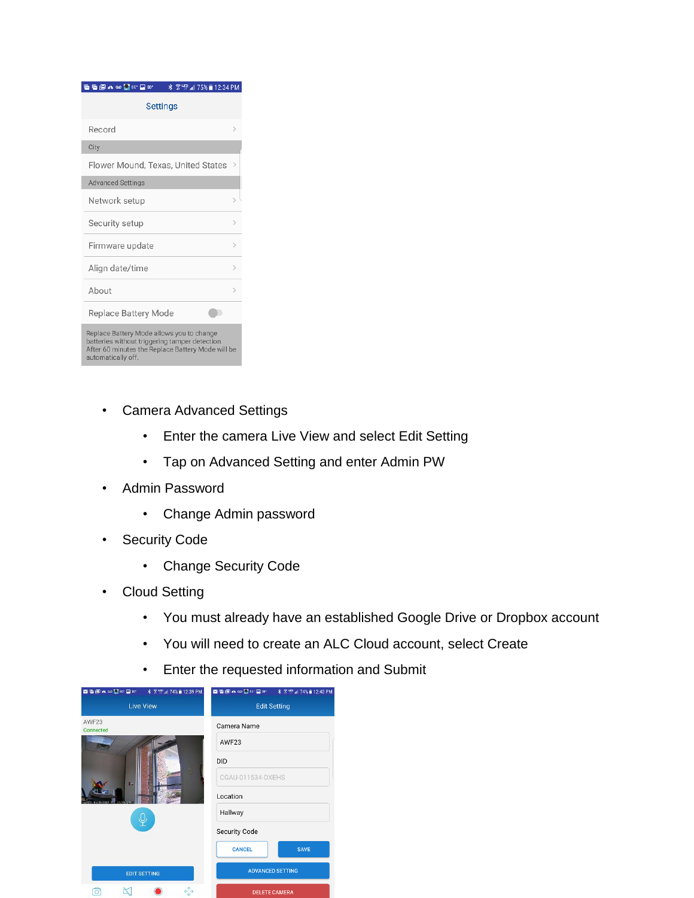| <b>GGALOOO</b> 80 A<br>* * * 15% 12:34 PM                                                                                                                              |               |
|------------------------------------------------------------------------------------------------------------------------------------------------------------------------|---------------|
| <b>Settings</b>                                                                                                                                                        |               |
| Record                                                                                                                                                                 | ь             |
| City                                                                                                                                                                   |               |
| Flower Mound, Texas, United States                                                                                                                                     | >             |
| <b>Advanced Settings</b>                                                                                                                                               |               |
| Network setup                                                                                                                                                          |               |
| Security setup                                                                                                                                                         | $\mathcal{C}$ |
| Firmware update                                                                                                                                                        | $\mathcal{C}$ |
| Align date/time                                                                                                                                                        | $\mathcal{C}$ |
| About                                                                                                                                                                  |               |
| Replace Battery Mode                                                                                                                                                   |               |
| Replace Battery Mode allows you to change<br>batteries without triggering tamper detection.<br>After 60 minutes the Replace Battery Mode will be<br>automatically off. |               |

- Camera Advanced Settings
	- Enter the camera Live View and select Edit Setting
	- Tap on Advanced Setting and enter Admin PW
- Admin Password
	- Change Admin password
- Security Code
	- Change Security Code
- Cloud Setting
	- You must already have an established Google Drive or Dropbox account
	- You will need to create an ALC Cloud account, select Create
	- Enter the requested information and Submit

|                    | 図面图 * 00 2 30° 2 30° * \$ ? "F.4 74% 2 12:39 PM |                              |  |
|--------------------|-------------------------------------------------|------------------------------|--|
|                    | <b>Live View</b>                                | <b>Edit Setting</b>          |  |
| AWF23<br>Connected |                                                 | Camera Name                  |  |
|                    |                                                 | AWF23                        |  |
|                    |                                                 | <b>DID</b>                   |  |
| 4È                 |                                                 | CGAU-011534-DXEHS            |  |
|                    |                                                 | Location                     |  |
|                    |                                                 | Hallway                      |  |
|                    |                                                 | Security Code                |  |
|                    |                                                 | <b>SAVE</b><br><b>CANCEL</b> |  |
|                    | <b>EDIT SETTING</b>                             | <b>ADVANCED SETTING</b>      |  |
| $\circ$            |                                                 | <b>DELETE CAMERA</b>         |  |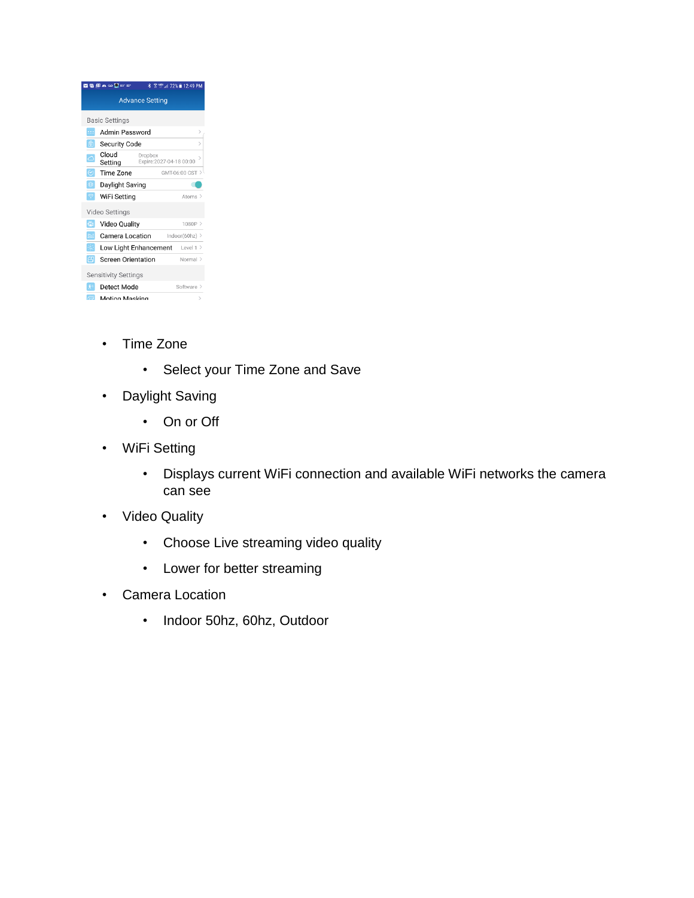| ◘ ◘ 圓 ▲  ● ◘ 80' 80'        | x                         | <b>HG:</b> 72% 12:49 PM                  |
|-----------------------------|---------------------------|------------------------------------------|
|                             | <b>Advance Setting</b>    |                                          |
| <b>Basic Settings</b>       |                           |                                          |
| 111                         | Admin Password            | $\mathcal{P}$                            |
| û                           | Security Code             | $\,>\,$                                  |
| Cloud<br>⊂<br>Setting       | Dropbox                   | $\mathcal{P}$<br>Expire:2027-04-18 00:00 |
| $\odot$                     | Time Zone                 | GMT-06:00 CST >                          |
| 娄                           | Daylight Saving           |                                          |
|                             | WiFi Setting              | Atoms >                                  |
| Video Settings              |                           |                                          |
| 儡                           | <b>Video Quality</b>      | 1080P                                    |
| ĥÉ                          | Camera Location           | Indoor(60hz) $>$                         |
| ٠c                          | Low Light Enhancement     | Level $1$ >                              |
| 円                           | <b>Screen Orientation</b> | Normal >                                 |
| <b>Sensitivity Settings</b> |                           |                                          |
| 介                           | Detect Mode               | Software >                               |
| a                           | Motion Masking            | $\,>\,$                                  |

- Time Zone
	- Select your Time Zone and Save
- Daylight Saving
	- On or Off
- WiFi Setting
	- Displays current WiFi connection and available WiFi networks the camera can see
- Video Quality
	- Choose Live streaming video quality
	- Lower for better streaming
- Camera Location
	- Indoor 50hz, 60hz, Outdoor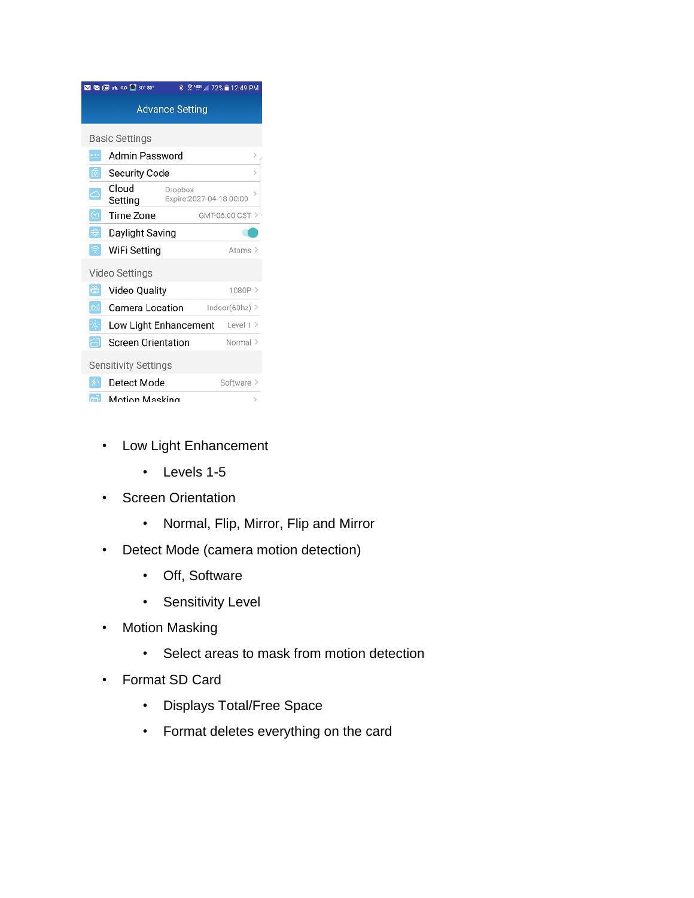

- Low Light Enhancement
	- Levels 1-5
- Screen Orientation
	- Normal, Flip, Mirror, Flip and Mirror
- Detect Mode (camera motion detection)
	- Off, Software
	- Sensitivity Level
- Motion Masking
	- Select areas to mask from motion detection
- Format SD Card
	- Displays Total/Free Space
	- Format deletes everything on the card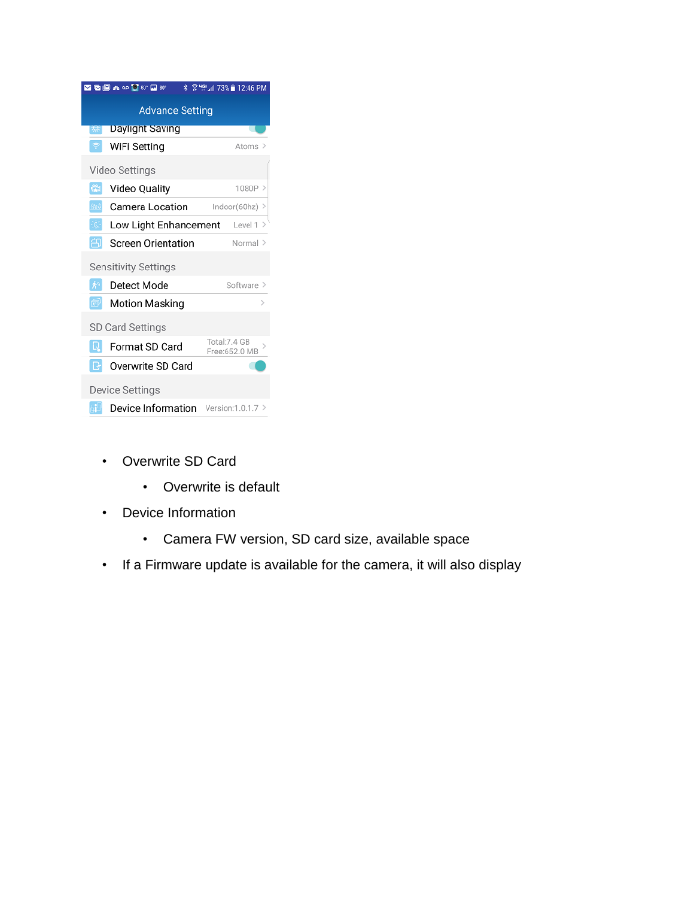

- Overwrite SD Card
	- Overwrite is default
- Device Information
	- Camera FW version, SD card size, available space
- If a Firmware update is available for the camera, it will also display